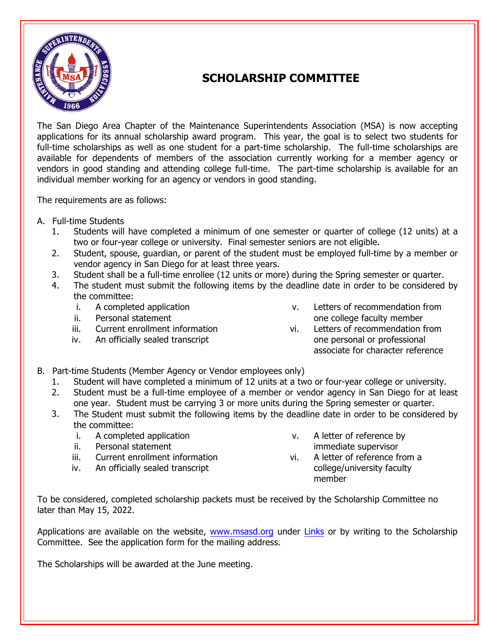

## **SCHOLARSHIP COMMITTEE**

The San Diego Area Chapter of the Maintenance Superintendents Association (MSA) is now accepting applications for its annual scholarship award program. This year, the goal is to select two students for full-time scholarships as well as one student for a part-time scholarship. The full-time scholarships are available for dependents of members of the association currently working for a member agency or vendors in good standing and attending college full-time. The part-time scholarship is available for an individual member working for an agency or vendors in good standing.

The requirements are as follows:

- A. Full-time Students
	- 1. Students will have completed a minimum of one semester or quarter of college (12 units) at a two or four-year college or university. Final semester seniors are not eligible.
	- 2. Student, spouse, guardian, or parent of the student must be employed full-time by a member or vendor agency in San Diego for at least three years.
	- 3. Student shall be a full-time enrollee (12 units or more) during the Spring semester or quarter.
	- 4. The student must submit the following items by the deadline date in order to be considered by the committee:
		- i. A completed application
		- ii. Personal statement
		- iii. Current enrollment information
		- iv. An officially sealed transcript
- v. Letters of recommendation from one college faculty member
- vi. Letters of recommendation from one personal or professional associate for character reference
- B. Part-time Students (Member Agency or Vendor employees only)
	- 1. Student will have completed a minimum of 12 units at a two or four-year college or university.
	- 2. Student must be a full-time employee of a member or vendor agency in San Diego for at least one year. Student must be carrying 3 or more units during the Spring semester or quarter.
	- 3. The Student must submit the following items by the deadline date in order to be considered by the committee:
		- i. A completed application
		- ii. Personal statement
		- iii. Current enrollment information
		- iv. An officially sealed transcript
- v. A letter of reference by immediate supervisor
- vi. A letter of reference from a college/university faculty member

To be considered, completed scholarship packets must be received by the Scholarship Committee no later than May 15, 2022.

Applications are available on the website, www.msasd.org under Links or by writing to the Scholarship Committee. See the application form for the mailing address.

The Scholarships will be awarded at the June meeting.